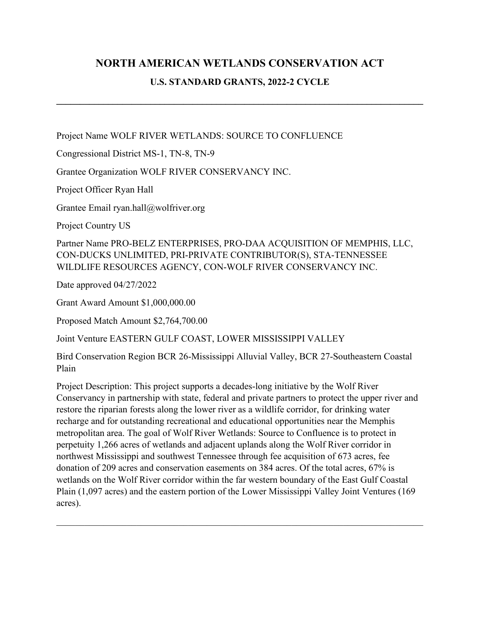# **NORTH AMERICAN WETLANDS CONSERVATION ACT**

# **U.S. STANDARD GRANTS, 2022-2 CYCLE**

**\_\_\_\_\_\_\_\_\_\_\_\_\_\_\_\_\_\_\_\_\_\_\_\_\_\_\_\_\_\_\_\_\_\_\_\_\_\_\_\_\_\_\_\_\_\_\_\_\_\_\_\_\_\_\_\_\_\_\_\_\_\_\_\_\_\_\_\_\_\_\_\_\_\_\_\_\_\_**

Project Name WOLF RIVER WETLANDS: SOURCE TO CONFLUENCE

Congressional District MS-1, TN-8, TN-9

Grantee Organization WOLF RIVER CONSERVANCY INC.

Project Officer Ryan Hall

Grantee Email ryan.hall@wolfriver.org

Project Country US

Partner Name PRO-BELZ ENTERPRISES, PRO-DAA ACQUISITION OF MEMPHIS, LLC, CON-DUCKS UNLIMITED, PRI-PRIVATE CONTRIBUTOR(S), STA-TENNESSEE WILDLIFE RESOURCES AGENCY, CON-WOLF RIVER CONSERVANCY INC.

Date approved 04/27/2022

Grant Award Amount \$1,000,000.00

Proposed Match Amount \$2,764,700.00

Joint Venture EASTERN GULF COAST, LOWER MISSISSIPPI VALLEY

Bird Conservation Region BCR 26-Mississippi Alluvial Valley, BCR 27-Southeastern Coastal Plain

Project Description: This project supports a decades-long initiative by the Wolf River Conservancy in partnership with state, federal and private partners to protect the upper river and restore the riparian forests along the lower river as a wildlife corridor, for drinking water recharge and for outstanding recreational and educational opportunities near the Memphis metropolitan area. The goal of Wolf River Wetlands: Source to Confluence is to protect in perpetuity 1,266 acres of wetlands and adjacent uplands along the Wolf River corridor in northwest Mississippi and southwest Tennessee through fee acquisition of 673 acres, fee donation of 209 acres and conservation easements on 384 acres. Of the total acres, 67% is wetlands on the Wolf River corridor within the far western boundary of the East Gulf Coastal Plain (1,097 acres) and the eastern portion of the Lower Mississippi Valley Joint Ventures (169 acres).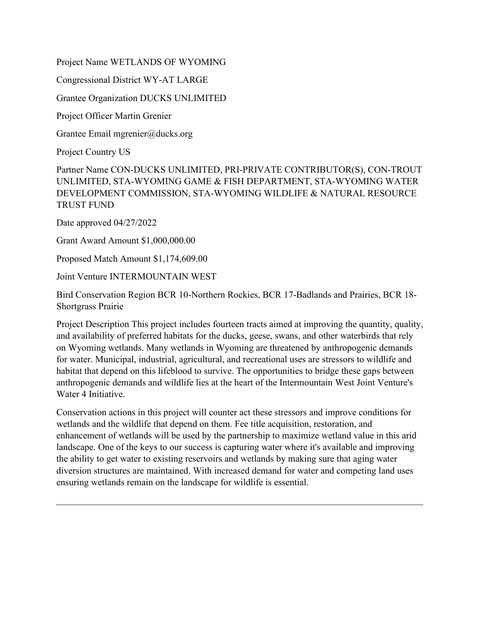Project Name WETLANDS OF WYOMING

Congressional District WY-AT LARGE

Grantee Organization DUCKS UNLIMITED

Project Officer Martin Grenier

Grantee Email mgrenier@ducks.org

Project Country US

Partner Name CON-DUCKS UNLIMITED, PRI-PRIVATE CONTRIBUTOR(S), CON-TROUT UNLIMITED, STA-WYOMING GAME & FISH DEPARTMENT, STA-WYOMING WATER DEVELOPMENT COMMISSION, STA-WYOMING WILDLIFE & NATURAL RESOURCE TRUST FUND

Date approved 04/27/2022

Grant Award Amount \$1,000,000.00

Proposed Match Amount \$1,174,609.00

Joint Venture INTERMOUNTAIN WEST

Bird Conservation Region BCR 10-Northern Rockies, BCR 17-Badlands and Prairies, BCR 18- Shortgrass Prairie

Project Description This project includes fourteen tracts aimed at improving the quantity, quality, and availability of preferred habitats for the ducks, geese, swans, and other waterbirds that rely on Wyoming wetlands. Many wetlands in Wyoming are threatened by anthropogenic demands for water. Municipal, industrial, agricultural, and recreational uses are stressors to wildlife and habitat that depend on this lifeblood to survive. The opportunities to bridge these gaps between anthropogenic demands and wildlife lies at the heart of the Intermountain West Joint Venture's Water 4 Initiative.

Conservation actions in this project will counter act these stressors and improve conditions for wetlands and the wildlife that depend on them. Fee title acquisition, restoration, and enhancement of wetlands will be used by the partnership to maximize wetland value in this arid landscape. One of the keys to our success is capturing water where it's available and improving the ability to get water to existing reservoirs and wetlands by making sure that aging water diversion structures are maintained. With increased demand for water and competing land uses ensuring wetlands remain on the landscape for wildlife is essential.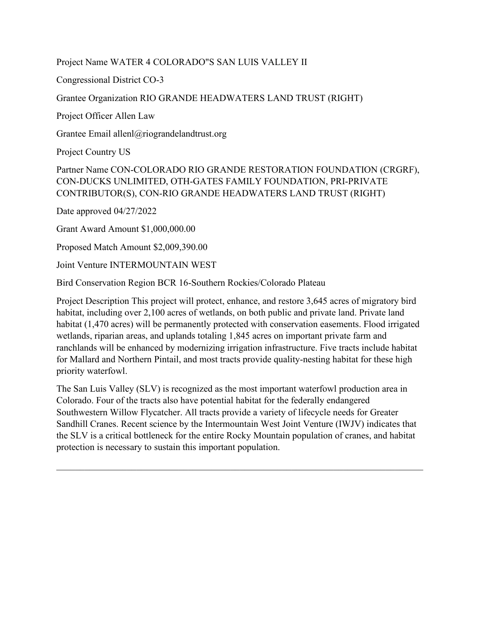# Project Name WATER 4 COLORADO"S SAN LUIS VALLEY II

Congressional District CO-3

# Grantee Organization RIO GRANDE HEADWATERS LAND TRUST (RIGHT)

Project Officer Allen Law

Grantee Email allenl@riograndelandtrust.org

Project Country US

# Partner Name CON-COLORADO RIO GRANDE RESTORATION FOUNDATION (CRGRF), CON-DUCKS UNLIMITED, OTH-GATES FAMILY FOUNDATION, PRI-PRIVATE CONTRIBUTOR(S), CON-RIO GRANDE HEADWATERS LAND TRUST (RIGHT)

Date approved 04/27/2022

Grant Award Amount \$1,000,000.00

Proposed Match Amount \$2,009,390.00

Joint Venture INTERMOUNTAIN WEST

Bird Conservation Region BCR 16-Southern Rockies/Colorado Plateau

Project Description This project will protect, enhance, and restore 3,645 acres of migratory bird habitat, including over 2,100 acres of wetlands, on both public and private land. Private land habitat (1,470 acres) will be permanently protected with conservation easements. Flood irrigated wetlands, riparian areas, and uplands totaling 1,845 acres on important private farm and ranchlands will be enhanced by modernizing irrigation infrastructure. Five tracts include habitat for Mallard and Northern Pintail, and most tracts provide quality-nesting habitat for these high priority waterfowl.

The San Luis Valley (SLV) is recognized as the most important waterfowl production area in Colorado. Four of the tracts also have potential habitat for the federally endangered Southwestern Willow Flycatcher. All tracts provide a variety of lifecycle needs for Greater Sandhill Cranes. Recent science by the Intermountain West Joint Venture (IWJV) indicates that the SLV is a critical bottleneck for the entire Rocky Mountain population of cranes, and habitat protection is necessary to sustain this important population.

 $\mathcal{L}_\mathcal{L} = \mathcal{L}_\mathcal{L} = \mathcal{L}_\mathcal{L} = \mathcal{L}_\mathcal{L} = \mathcal{L}_\mathcal{L} = \mathcal{L}_\mathcal{L} = \mathcal{L}_\mathcal{L} = \mathcal{L}_\mathcal{L} = \mathcal{L}_\mathcal{L} = \mathcal{L}_\mathcal{L} = \mathcal{L}_\mathcal{L} = \mathcal{L}_\mathcal{L} = \mathcal{L}_\mathcal{L} = \mathcal{L}_\mathcal{L} = \mathcal{L}_\mathcal{L} = \mathcal{L}_\mathcal{L} = \mathcal{L}_\mathcal{L}$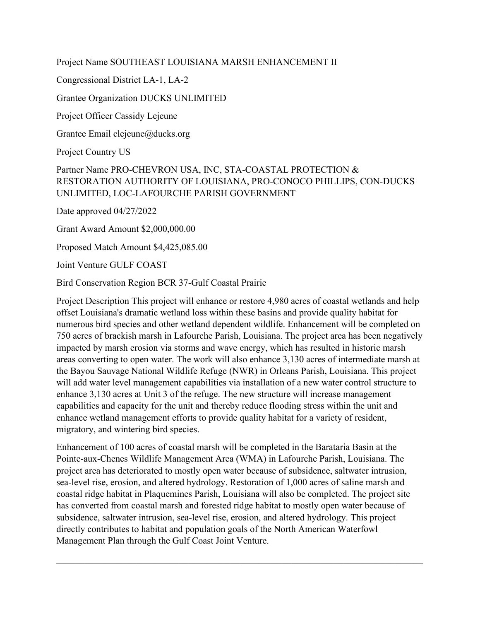Project Name SOUTHEAST LOUISIANA MARSH ENHANCEMENT II

Congressional District LA-1, LA-2

Grantee Organization DUCKS UNLIMITED

Project Officer Cassidy Lejeune

Grantee Email clejeune@ducks.org

Project Country US

# Partner Name PRO-CHEVRON USA, INC, STA-COASTAL PROTECTION & RESTORATION AUTHORITY OF LOUISIANA, PRO-CONOCO PHILLIPS, CON-DUCKS UNLIMITED, LOC-LAFOURCHE PARISH GOVERNMENT

Date approved 04/27/2022

Grant Award Amount \$2,000,000.00

Proposed Match Amount \$4,425,085.00

Joint Venture GULF COAST

Bird Conservation Region BCR 37-Gulf Coastal Prairie

Project Description This project will enhance or restore 4,980 acres of coastal wetlands and help offset Louisiana's dramatic wetland loss within these basins and provide quality habitat for numerous bird species and other wetland dependent wildlife. Enhancement will be completed on 750 acres of brackish marsh in Lafourche Parish, Louisiana. The project area has been negatively impacted by marsh erosion via storms and wave energy, which has resulted in historic marsh areas converting to open water. The work will also enhance 3,130 acres of intermediate marsh at the Bayou Sauvage National Wildlife Refuge (NWR) in Orleans Parish, Louisiana. This project will add water level management capabilities via installation of a new water control structure to enhance 3,130 acres at Unit 3 of the refuge. The new structure will increase management capabilities and capacity for the unit and thereby reduce flooding stress within the unit and enhance wetland management efforts to provide quality habitat for a variety of resident, migratory, and wintering bird species.

Enhancement of 100 acres of coastal marsh will be completed in the Barataria Basin at the Pointe-aux-Chenes Wildlife Management Area (WMA) in Lafourche Parish, Louisiana. The project area has deteriorated to mostly open water because of subsidence, saltwater intrusion, sea-level rise, erosion, and altered hydrology. Restoration of 1,000 acres of saline marsh and coastal ridge habitat in Plaquemines Parish, Louisiana will also be completed. The project site has converted from coastal marsh and forested ridge habitat to mostly open water because of subsidence, saltwater intrusion, sea-level rise, erosion, and altered hydrology. This project directly contributes to habitat and population goals of the North American Waterfowl Management Plan through the Gulf Coast Joint Venture.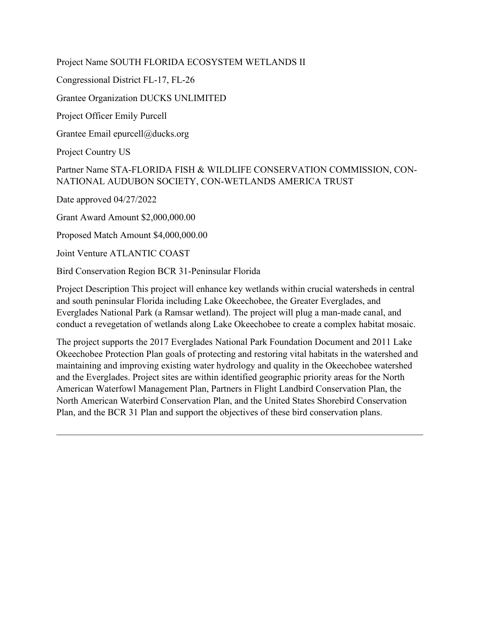Project Name SOUTH FLORIDA ECOSYSTEM WETLANDS II

Congressional District FL-17, FL-26

Grantee Organization DUCKS UNLIMITED

Project Officer Emily Purcell

Grantee Email epurcell@ducks.org

Project Country US

Partner Name STA-FLORIDA FISH & WILDLIFE CONSERVATION COMMISSION, CON-NATIONAL AUDUBON SOCIETY, CON-WETLANDS AMERICA TRUST

Date approved 04/27/2022

Grant Award Amount \$2,000,000.00

Proposed Match Amount \$4,000,000.00

Joint Venture ATLANTIC COAST

Bird Conservation Region BCR 31-Peninsular Florida

Project Description This project will enhance key wetlands within crucial watersheds in central and south peninsular Florida including Lake Okeechobee, the Greater Everglades, and Everglades National Park (a Ramsar wetland). The project will plug a man-made canal, and conduct a revegetation of wetlands along Lake Okeechobee to create a complex habitat mosaic.

The project supports the 2017 Everglades National Park Foundation Document and 2011 Lake Okeechobee Protection Plan goals of protecting and restoring vital habitats in the watershed and maintaining and improving existing water hydrology and quality in the Okeechobee watershed and the Everglades. Project sites are within identified geographic priority areas for the North American Waterfowl Management Plan, Partners in Flight Landbird Conservation Plan, the North American Waterbird Conservation Plan, and the United States Shorebird Conservation Plan, and the BCR 31 Plan and support the objectives of these bird conservation plans.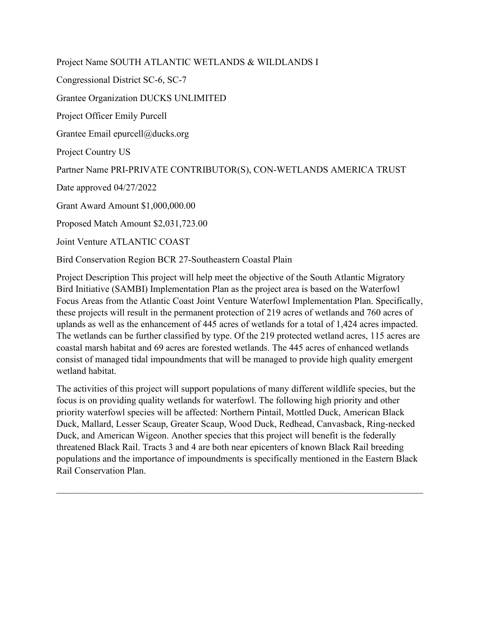Project Name SOUTH ATLANTIC WETLANDS & WILDLANDS I Congressional District SC-6, SC-7 Grantee Organization DUCKS UNLIMITED Project Officer Emily Purcell Grantee Email epurcell@ducks.org Project Country US Partner Name PRI-PRIVATE CONTRIBUTOR(S), CON-WETLANDS AMERICA TRUST Date approved 04/27/2022 Grant Award Amount \$1,000,000.00 Proposed Match Amount \$2,031,723.00 Joint Venture ATLANTIC COAST Bird Conservation Region BCR 27-Southeastern Coastal Plain

Project Description This project will help meet the objective of the South Atlantic Migratory Bird Initiative (SAMBI) Implementation Plan as the project area is based on the Waterfowl Focus Areas from the Atlantic Coast Joint Venture Waterfowl Implementation Plan. Specifically, these projects will result in the permanent protection of 219 acres of wetlands and 760 acres of uplands as well as the enhancement of 445 acres of wetlands for a total of 1,424 acres impacted. The wetlands can be further classified by type. Of the 219 protected wetland acres, 115 acres are coastal marsh habitat and 69 acres are forested wetlands. The 445 acres of enhanced wetlands consist of managed tidal impoundments that will be managed to provide high quality emergent wetland habitat.

The activities of this project will support populations of many different wildlife species, but the focus is on providing quality wetlands for waterfowl. The following high priority and other priority waterfowl species will be affected: Northern Pintail, Mottled Duck, American Black Duck, Mallard, Lesser Scaup, Greater Scaup, Wood Duck, Redhead, Canvasback, Ring-necked Duck, and American Wigeon. Another species that this project will benefit is the federally threatened Black Rail. Tracts 3 and 4 are both near epicenters of known Black Rail breeding populations and the importance of impoundments is specifically mentioned in the Eastern Black Rail Conservation Plan.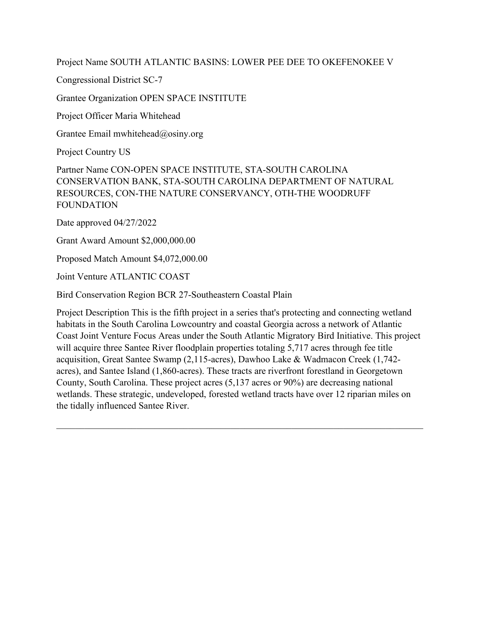Project Name SOUTH ATLANTIC BASINS: LOWER PEE DEE TO OKEFENOKEE V

Congressional District SC-7

Grantee Organization OPEN SPACE INSTITUTE

Project Officer Maria Whitehead

Grantee Email mwhitehead@osiny.org

Project Country US

Partner Name CON-OPEN SPACE INSTITUTE, STA-SOUTH CAROLINA CONSERVATION BANK, STA-SOUTH CAROLINA DEPARTMENT OF NATURAL RESOURCES, CON-THE NATURE CONSERVANCY, OTH-THE WOODRUFF FOUNDATION

Date approved 04/27/2022

Grant Award Amount \$2,000,000.00

Proposed Match Amount \$4,072,000.00

Joint Venture ATLANTIC COAST

Bird Conservation Region BCR 27-Southeastern Coastal Plain

Project Description This is the fifth project in a series that's protecting and connecting wetland habitats in the South Carolina Lowcountry and coastal Georgia across a network of Atlantic Coast Joint Venture Focus Areas under the South Atlantic Migratory Bird Initiative. This project will acquire three Santee River floodplain properties totaling 5,717 acres through fee title acquisition, Great Santee Swamp (2,115-acres), Dawhoo Lake & Wadmacon Creek (1,742 acres), and Santee Island (1,860-acres). These tracts are riverfront forestland in Georgetown County, South Carolina. These project acres (5,137 acres or 90%) are decreasing national wetlands. These strategic, undeveloped, forested wetland tracts have over 12 riparian miles on the tidally influenced Santee River.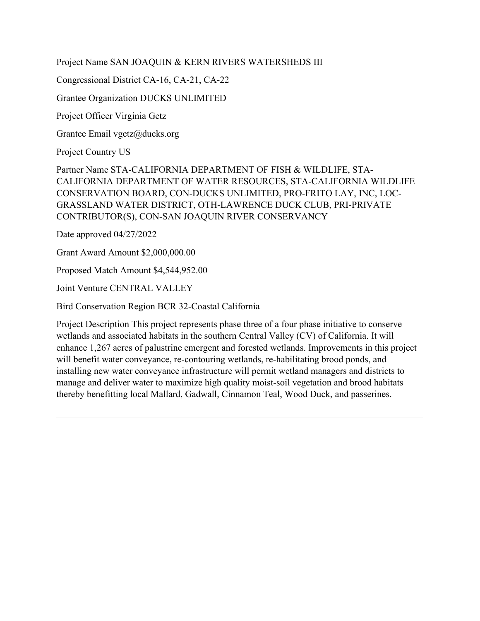Project Name SAN JOAQUIN & KERN RIVERS WATERSHEDS III

Congressional District CA-16, CA-21, CA-22

Grantee Organization DUCKS UNLIMITED

Project Officer Virginia Getz

Grantee Email vgetz@ducks.org

Project Country US

Partner Name STA-CALIFORNIA DEPARTMENT OF FISH & WILDLIFE, STA-CALIFORNIA DEPARTMENT OF WATER RESOURCES, STA-CALIFORNIA WILDLIFE CONSERVATION BOARD, CON-DUCKS UNLIMITED, PRO-FRITO LAY, INC, LOC-GRASSLAND WATER DISTRICT, OTH-LAWRENCE DUCK CLUB, PRI-PRIVATE CONTRIBUTOR(S), CON-SAN JOAQUIN RIVER CONSERVANCY

Date approved 04/27/2022

Grant Award Amount \$2,000,000.00

Proposed Match Amount \$4,544,952.00

Joint Venture CENTRAL VALLEY

Bird Conservation Region BCR 32-Coastal California

Project Description This project represents phase three of a four phase initiative to conserve wetlands and associated habitats in the southern Central Valley (CV) of California. It will enhance 1,267 acres of palustrine emergent and forested wetlands. Improvements in this project will benefit water conveyance, re-contouring wetlands, re-habilitating brood ponds, and installing new water conveyance infrastructure will permit wetland managers and districts to manage and deliver water to maximize high quality moist-soil vegetation and brood habitats thereby benefitting local Mallard, Gadwall, Cinnamon Teal, Wood Duck, and passerines.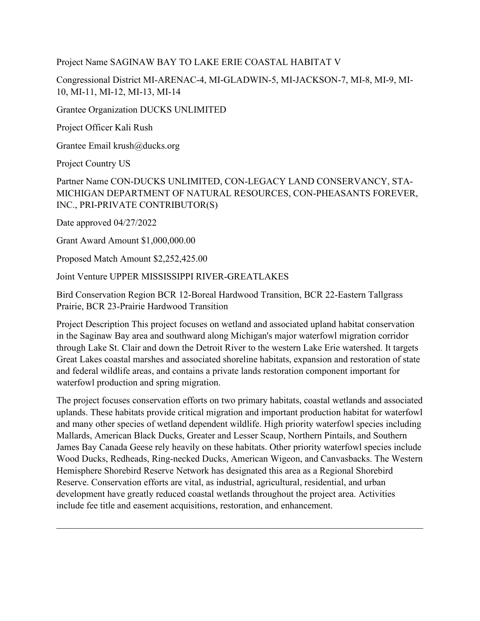#### Project Name SAGINAW BAY TO LAKE ERIE COASTAL HABITAT V

Congressional District MI-ARENAC-4, MI-GLADWIN-5, MI-JACKSON-7, MI-8, MI-9, MI-10, MI-11, MI-12, MI-13, MI-14

Grantee Organization DUCKS UNLIMITED

Project Officer Kali Rush

Grantee Email krush@ducks.org

Project Country US

Partner Name CON-DUCKS UNLIMITED, CON-LEGACY LAND CONSERVANCY, STA-MICHIGAN DEPARTMENT OF NATURAL RESOURCES, CON-PHEASANTS FOREVER, INC., PRI-PRIVATE CONTRIBUTOR(S)

Date approved 04/27/2022

Grant Award Amount \$1,000,000.00

Proposed Match Amount \$2,252,425.00

Joint Venture UPPER MISSISSIPPI RIVER-GREATLAKES

Bird Conservation Region BCR 12-Boreal Hardwood Transition, BCR 22-Eastern Tallgrass Prairie, BCR 23-Prairie Hardwood Transition

Project Description This project focuses on wetland and associated upland habitat conservation in the Saginaw Bay area and southward along Michigan's major waterfowl migration corridor through Lake St. Clair and down the Detroit River to the western Lake Erie watershed. It targets Great Lakes coastal marshes and associated shoreline habitats, expansion and restoration of state and federal wildlife areas, and contains a private lands restoration component important for waterfowl production and spring migration.

The project focuses conservation efforts on two primary habitats, coastal wetlands and associated uplands. These habitats provide critical migration and important production habitat for waterfowl and many other species of wetland dependent wildlife. High priority waterfowl species including Mallards, American Black Ducks, Greater and Lesser Scaup, Northern Pintails, and Southern James Bay Canada Geese rely heavily on these habitats. Other priority waterfowl species include Wood Ducks, Redheads, Ring-necked Ducks, American Wigeon, and Canvasbacks. The Western Hemisphere Shorebird Reserve Network has designated this area as a Regional Shorebird Reserve. Conservation efforts are vital, as industrial, agricultural, residential, and urban development have greatly reduced coastal wetlands throughout the project area. Activities include fee title and easement acquisitions, restoration, and enhancement.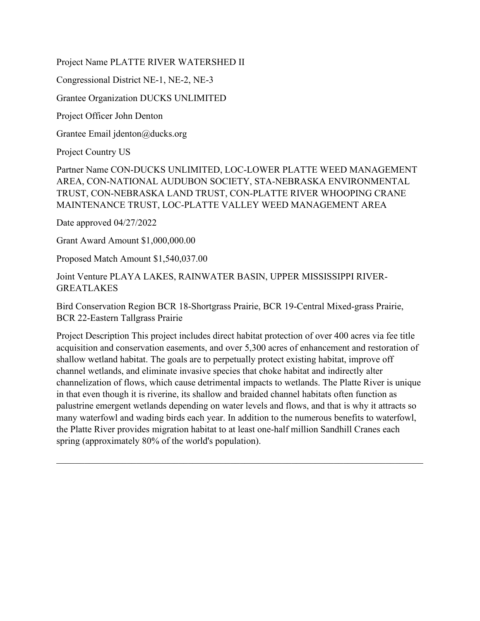Project Name PLATTE RIVER WATERSHED II

Congressional District NE-1, NE-2, NE-3

Grantee Organization DUCKS UNLIMITED

Project Officer John Denton

Grantee Email jdenton@ducks.org

Project Country US

Partner Name CON-DUCKS UNLIMITED, LOC-LOWER PLATTE WEED MANAGEMENT AREA, CON-NATIONAL AUDUBON SOCIETY, STA-NEBRASKA ENVIRONMENTAL TRUST, CON-NEBRASKA LAND TRUST, CON-PLATTE RIVER WHOOPING CRANE MAINTENANCE TRUST, LOC-PLATTE VALLEY WEED MANAGEMENT AREA

Date approved 04/27/2022

Grant Award Amount \$1,000,000.00

Proposed Match Amount \$1,540,037.00

Joint Venture PLAYA LAKES, RAINWATER BASIN, UPPER MISSISSIPPI RIVER-GREATLAKES

Bird Conservation Region BCR 18-Shortgrass Prairie, BCR 19-Central Mixed-grass Prairie, BCR 22-Eastern Tallgrass Prairie

Project Description This project includes direct habitat protection of over 400 acres via fee title acquisition and conservation easements, and over 5,300 acres of enhancement and restoration of shallow wetland habitat. The goals are to perpetually protect existing habitat, improve off channel wetlands, and eliminate invasive species that choke habitat and indirectly alter channelization of flows, which cause detrimental impacts to wetlands. The Platte River is unique in that even though it is riverine, its shallow and braided channel habitats often function as palustrine emergent wetlands depending on water levels and flows, and that is why it attracts so many waterfowl and wading birds each year. In addition to the numerous benefits to waterfowl, the Platte River provides migration habitat to at least one-half million Sandhill Cranes each spring (approximately 80% of the world's population).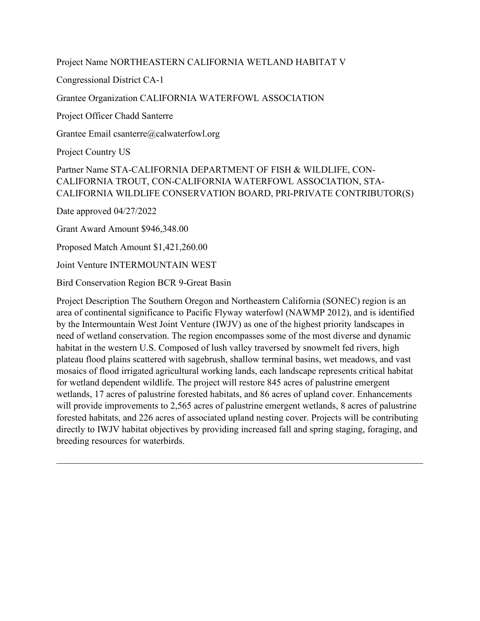Project Name NORTHEASTERN CALIFORNIA WETLAND HABITAT V

Congressional District CA-1

Grantee Organization CALIFORNIA WATERFOWL ASSOCIATION

Project Officer Chadd Santerre

Grantee Email csanterre@calwaterfowl.org

Project Country US

# Partner Name STA-CALIFORNIA DEPARTMENT OF FISH & WILDLIFE, CON-CALIFORNIA TROUT, CON-CALIFORNIA WATERFOWL ASSOCIATION, STA-CALIFORNIA WILDLIFE CONSERVATION BOARD, PRI-PRIVATE CONTRIBUTOR(S)

Date approved 04/27/2022

Grant Award Amount \$946,348.00

Proposed Match Amount \$1,421,260.00

Joint Venture INTERMOUNTAIN WEST

Bird Conservation Region BCR 9-Great Basin

Project Description The Southern Oregon and Northeastern California (SONEC) region is an area of continental significance to Pacific Flyway waterfowl (NAWMP 2012), and is identified by the Intermountain West Joint Venture (IWJV) as one of the highest priority landscapes in need of wetland conservation. The region encompasses some of the most diverse and dynamic habitat in the western U.S. Composed of lush valley traversed by snowmelt fed rivers, high plateau flood plains scattered with sagebrush, shallow terminal basins, wet meadows, and vast mosaics of flood irrigated agricultural working lands, each landscape represents critical habitat for wetland dependent wildlife. The project will restore 845 acres of palustrine emergent wetlands, 17 acres of palustrine forested habitats, and 86 acres of upland cover. Enhancements will provide improvements to 2,565 acres of palustrine emergent wetlands, 8 acres of palustrine forested habitats, and 226 acres of associated upland nesting cover. Projects will be contributing directly to IWJV habitat objectives by providing increased fall and spring staging, foraging, and breeding resources for waterbirds.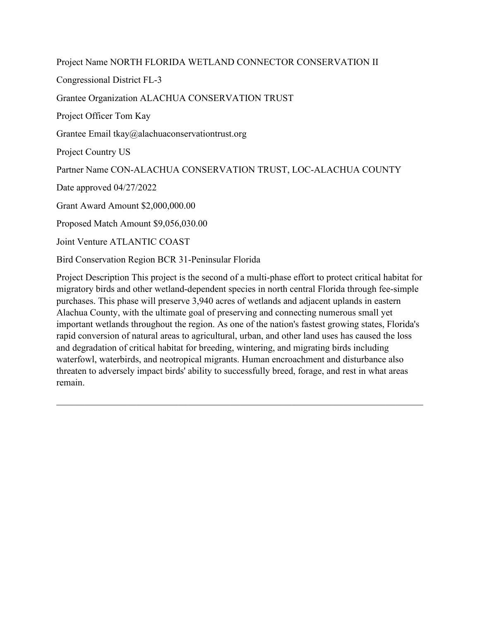Project Name NORTH FLORIDA WETLAND CONNECTOR CONSERVATION II Congressional District FL-3 Grantee Organization ALACHUA CONSERVATION TRUST Project Officer Tom Kay Grantee Email tkay@alachuaconservationtrust.org Project Country US Partner Name CON-ALACHUA CONSERVATION TRUST, LOC-ALACHUA COUNTY Date approved 04/27/2022 Grant Award Amount \$2,000,000.00 Proposed Match Amount \$9,056,030.00 Joint Venture ATLANTIC COAST

Bird Conservation Region BCR 31-Peninsular Florida

Project Description This project is the second of a multi-phase effort to protect critical habitat for migratory birds and other wetland-dependent species in north central Florida through fee-simple purchases. This phase will preserve 3,940 acres of wetlands and adjacent uplands in eastern Alachua County, with the ultimate goal of preserving and connecting numerous small yet important wetlands throughout the region. As one of the nation's fastest growing states, Florida's rapid conversion of natural areas to agricultural, urban, and other land uses has caused the loss and degradation of critical habitat for breeding, wintering, and migrating birds including waterfowl, waterbirds, and neotropical migrants. Human encroachment and disturbance also threaten to adversely impact birds' ability to successfully breed, forage, and rest in what areas remain.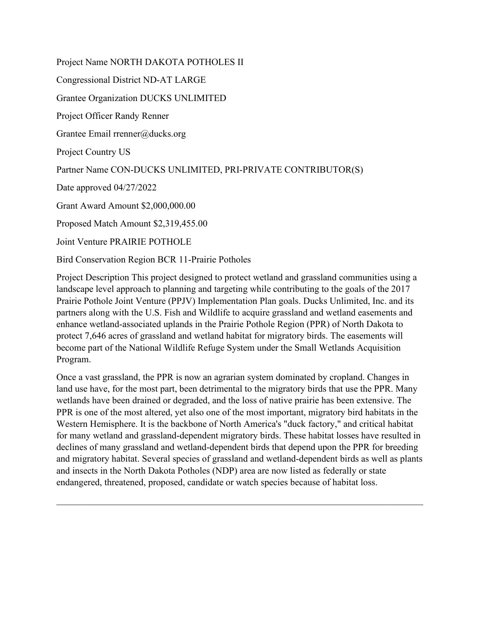Project Name NORTH DAKOTA POTHOLES II Congressional District ND-AT LARGE Grantee Organization DUCKS UNLIMITED Project Officer Randy Renner Grantee Email rrenner@ducks.org Project Country US Partner Name CON-DUCKS UNLIMITED, PRI-PRIVATE CONTRIBUTOR(S) Date approved 04/27/2022 Grant Award Amount \$2,000,000.00 Proposed Match Amount \$2,319,455.00 Joint Venture PRAIRIE POTHOLE Bird Conservation Region BCR 11-Prairie Potholes

Project Description This project designed to protect wetland and grassland communities using a landscape level approach to planning and targeting while contributing to the goals of the 2017 Prairie Pothole Joint Venture (PPJV) Implementation Plan goals. Ducks Unlimited, Inc. and its partners along with the U.S. Fish and Wildlife to acquire grassland and wetland easements and enhance wetland-associated uplands in the Prairie Pothole Region (PPR) of North Dakota to protect 7,646 acres of grassland and wetland habitat for migratory birds. The easements will become part of the National Wildlife Refuge System under the Small Wetlands Acquisition Program.

Once a vast grassland, the PPR is now an agrarian system dominated by cropland. Changes in land use have, for the most part, been detrimental to the migratory birds that use the PPR. Many wetlands have been drained or degraded, and the loss of native prairie has been extensive. The PPR is one of the most altered, yet also one of the most important, migratory bird habitats in the Western Hemisphere. It is the backbone of North America's "duck factory," and critical habitat for many wetland and grassland-dependent migratory birds. These habitat losses have resulted in declines of many grassland and wetland-dependent birds that depend upon the PPR for breeding and migratory habitat. Several species of grassland and wetland-dependent birds as well as plants and insects in the North Dakota Potholes (NDP) area are now listed as federally or state endangered, threatened, proposed, candidate or watch species because of habitat loss.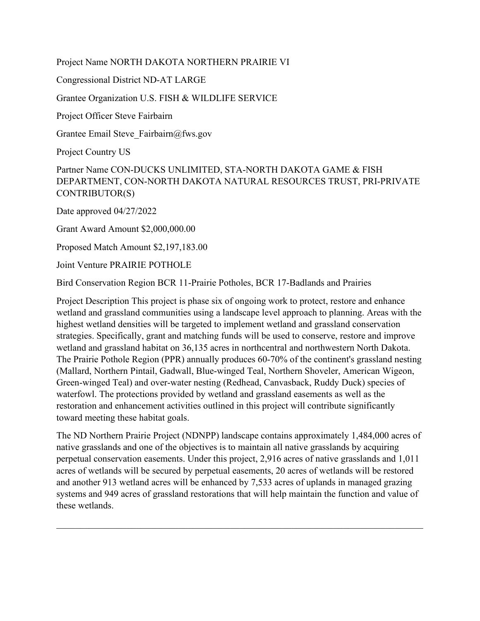Project Name NORTH DAKOTA NORTHERN PRAIRIE VI

Congressional District ND-AT LARGE

Grantee Organization U.S. FISH & WILDLIFE SERVICE

Project Officer Steve Fairbairn

Grantee Email Steve\_Fairbairn@fws.gov

Project Country US

Partner Name CON-DUCKS UNLIMITED, STA-NORTH DAKOTA GAME & FISH DEPARTMENT, CON-NORTH DAKOTA NATURAL RESOURCES TRUST, PRI-PRIVATE CONTRIBUTOR(S)

Date approved 04/27/2022

Grant Award Amount \$2,000,000.00

Proposed Match Amount \$2,197,183.00

Joint Venture PRAIRIE POTHOLE

Bird Conservation Region BCR 11-Prairie Potholes, BCR 17-Badlands and Prairies

Project Description This project is phase six of ongoing work to protect, restore and enhance wetland and grassland communities using a landscape level approach to planning. Areas with the highest wetland densities will be targeted to implement wetland and grassland conservation strategies. Specifically, grant and matching funds will be used to conserve, restore and improve wetland and grassland habitat on 36,135 acres in northcentral and northwestern North Dakota. The Prairie Pothole Region (PPR) annually produces 60-70% of the continent's grassland nesting (Mallard, Northern Pintail, Gadwall, Blue-winged Teal, Northern Shoveler, American Wigeon, Green-winged Teal) and over-water nesting (Redhead, Canvasback, Ruddy Duck) species of waterfowl. The protections provided by wetland and grassland easements as well as the restoration and enhancement activities outlined in this project will contribute significantly toward meeting these habitat goals.

The ND Northern Prairie Project (NDNPP) landscape contains approximately 1,484,000 acres of native grasslands and one of the objectives is to maintain all native grasslands by acquiring perpetual conservation easements. Under this project, 2,916 acres of native grasslands and 1,011 acres of wetlands will be secured by perpetual easements, 20 acres of wetlands will be restored and another 913 wetland acres will be enhanced by 7,533 acres of uplands in managed grazing systems and 949 acres of grassland restorations that will help maintain the function and value of these wetlands.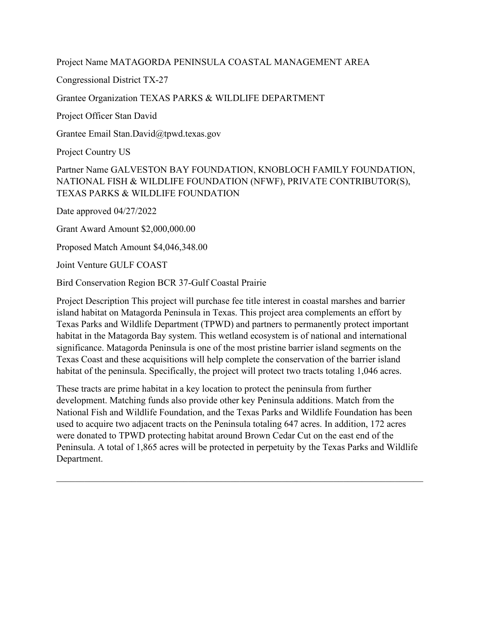#### Project Name MATAGORDA PENINSULA COASTAL MANAGEMENT AREA

Congressional District TX-27

#### Grantee Organization TEXAS PARKS & WILDLIFE DEPARTMENT

Project Officer Stan David

Grantee Email Stan.David@tpwd.texas.gov

Project Country US

# Partner Name GALVESTON BAY FOUNDATION, KNOBLOCH FAMILY FOUNDATION, NATIONAL FISH & WILDLIFE FOUNDATION (NFWF), PRIVATE CONTRIBUTOR(S), TEXAS PARKS & WILDLIFE FOUNDATION

Date approved 04/27/2022

Grant Award Amount \$2,000,000.00

Proposed Match Amount \$4,046,348.00

Joint Venture GULF COAST

Bird Conservation Region BCR 37-Gulf Coastal Prairie

Project Description This project will purchase fee title interest in coastal marshes and barrier island habitat on Matagorda Peninsula in Texas. This project area complements an effort by Texas Parks and Wildlife Department (TPWD) and partners to permanently protect important habitat in the Matagorda Bay system. This wetland ecosystem is of national and international significance. Matagorda Peninsula is one of the most pristine barrier island segments on the Texas Coast and these acquisitions will help complete the conservation of the barrier island habitat of the peninsula. Specifically, the project will protect two tracts totaling 1,046 acres.

These tracts are prime habitat in a key location to protect the peninsula from further development. Matching funds also provide other key Peninsula additions. Match from the National Fish and Wildlife Foundation, and the Texas Parks and Wildlife Foundation has been used to acquire two adjacent tracts on the Peninsula totaling 647 acres. In addition, 172 acres were donated to TPWD protecting habitat around Brown Cedar Cut on the east end of the Peninsula. A total of 1,865 acres will be protected in perpetuity by the Texas Parks and Wildlife Department.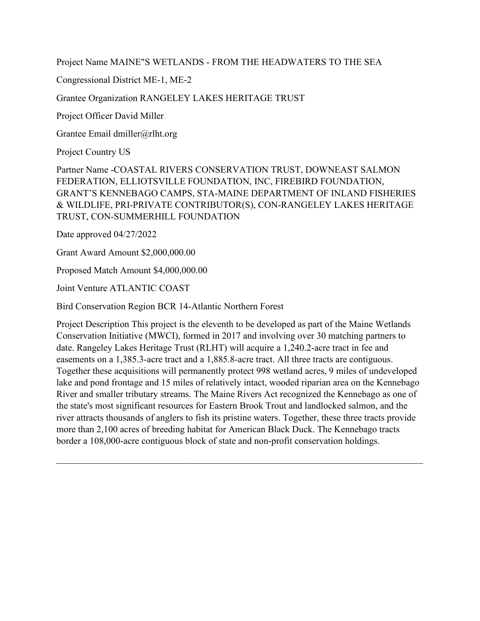Project Name MAINE"S WETLANDS - FROM THE HEADWATERS TO THE SEA

Congressional District ME-1, ME-2

Grantee Organization RANGELEY LAKES HERITAGE TRUST

Project Officer David Miller

Grantee Email dmiller@rlht.org

Project Country US

Partner Name -COASTAL RIVERS CONSERVATION TRUST, DOWNEAST SALMON FEDERATION, ELLIOTSVILLE FOUNDATION, INC, FIREBIRD FOUNDATION, GRANT'S KENNEBAGO CAMPS, STA-MAINE DEPARTMENT OF INLAND FISHERIES & WILDLIFE, PRI-PRIVATE CONTRIBUTOR(S), CON-RANGELEY LAKES HERITAGE TRUST, CON-SUMMERHILL FOUNDATION

Date approved 04/27/2022

Grant Award Amount \$2,000,000.00

Proposed Match Amount \$4,000,000.00

Joint Venture ATLANTIC COAST

Bird Conservation Region BCR 14-Atlantic Northern Forest

Project Description This project is the eleventh to be developed as part of the Maine Wetlands Conservation Initiative (MWCI), formed in 2017 and involving over 30 matching partners to date. Rangeley Lakes Heritage Trust (RLHT) will acquire a 1,240.2-acre tract in fee and easements on a 1,385.3-acre tract and a 1,885.8-acre tract. All three tracts are contiguous. Together these acquisitions will permanently protect 998 wetland acres, 9 miles of undeveloped lake and pond frontage and 15 miles of relatively intact, wooded riparian area on the Kennebago River and smaller tributary streams. The Maine Rivers Act recognized the Kennebago as one of the state's most significant resources for Eastern Brook Trout and landlocked salmon, and the river attracts thousands of anglers to fish its pristine waters. Together, these three tracts provide more than 2,100 acres of breeding habitat for American Black Duck. The Kennebago tracts border a 108,000-acre contiguous block of state and non-profit conservation holdings.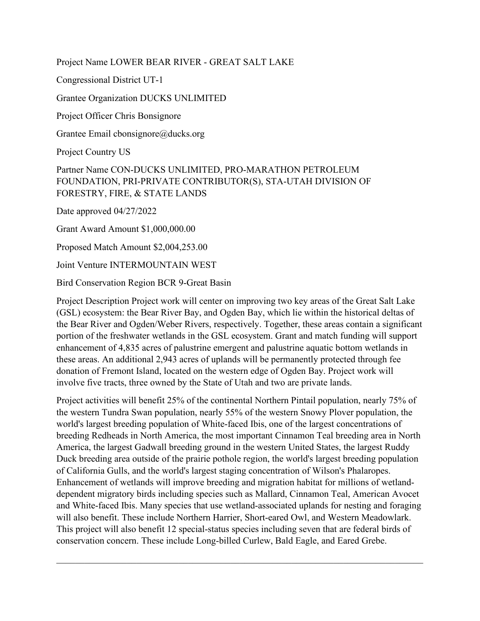Project Name LOWER BEAR RIVER - GREAT SALT LAKE

Congressional District UT-1

Grantee Organization DUCKS UNLIMITED

Project Officer Chris Bonsignore

Grantee Email cbonsignore@ducks.org

Project Country US

# Partner Name CON-DUCKS UNLIMITED, PRO-MARATHON PETROLEUM FOUNDATION, PRI-PRIVATE CONTRIBUTOR(S), STA-UTAH DIVISION OF FORESTRY, FIRE, & STATE LANDS

Date approved 04/27/2022

Grant Award Amount \$1,000,000.00

Proposed Match Amount \$2,004,253.00

Joint Venture INTERMOUNTAIN WEST

Bird Conservation Region BCR 9-Great Basin

Project Description Project work will center on improving two key areas of the Great Salt Lake (GSL) ecosystem: the Bear River Bay, and Ogden Bay, which lie within the historical deltas of the Bear River and Ogden/Weber Rivers, respectively. Together, these areas contain a significant portion of the freshwater wetlands in the GSL ecosystem. Grant and match funding will support enhancement of 4,835 acres of palustrine emergent and palustrine aquatic bottom wetlands in these areas. An additional 2,943 acres of uplands will be permanently protected through fee donation of Fremont Island, located on the western edge of Ogden Bay. Project work will involve five tracts, three owned by the State of Utah and two are private lands.

Project activities will benefit 25% of the continental Northern Pintail population, nearly 75% of the western Tundra Swan population, nearly 55% of the western Snowy Plover population, the world's largest breeding population of White-faced Ibis, one of the largest concentrations of breeding Redheads in North America, the most important Cinnamon Teal breeding area in North America, the largest Gadwall breeding ground in the western United States, the largest Ruddy Duck breeding area outside of the prairie pothole region, the world's largest breeding population of California Gulls, and the world's largest staging concentration of Wilson's Phalaropes. Enhancement of wetlands will improve breeding and migration habitat for millions of wetlanddependent migratory birds including species such as Mallard, Cinnamon Teal, American Avocet and White-faced Ibis. Many species that use wetland-associated uplands for nesting and foraging will also benefit. These include Northern Harrier, Short-eared Owl, and Western Meadowlark. This project will also benefit 12 special-status species including seven that are federal birds of conservation concern. These include Long-billed Curlew, Bald Eagle, and Eared Grebe.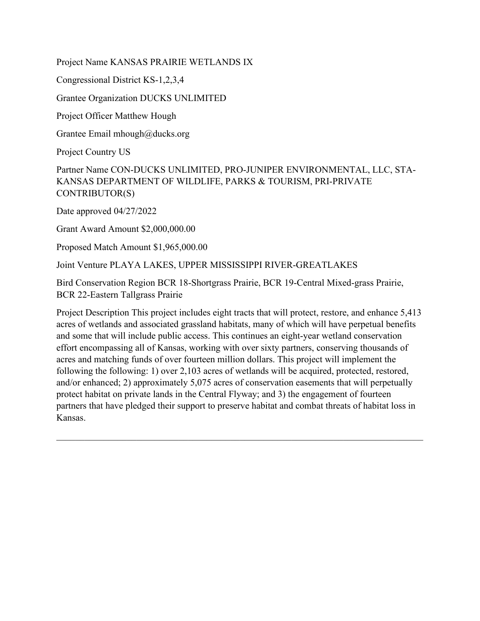Project Name KANSAS PRAIRIE WETLANDS IX

Congressional District KS-1,2,3,4

Grantee Organization DUCKS UNLIMITED

Project Officer Matthew Hough

Grantee Email mhough@ducks.org

Project Country US

Partner Name CON-DUCKS UNLIMITED, PRO-JUNIPER ENVIRONMENTAL, LLC, STA-KANSAS DEPARTMENT OF WILDLIFE, PARKS & TOURISM, PRI-PRIVATE CONTRIBUTOR(S)

Date approved 04/27/2022

Grant Award Amount \$2,000,000.00

Proposed Match Amount \$1,965,000.00

Joint Venture PLAYA LAKES, UPPER MISSISSIPPI RIVER-GREATLAKES

Bird Conservation Region BCR 18-Shortgrass Prairie, BCR 19-Central Mixed-grass Prairie, BCR 22-Eastern Tallgrass Prairie

Project Description This project includes eight tracts that will protect, restore, and enhance 5,413 acres of wetlands and associated grassland habitats, many of which will have perpetual benefits and some that will include public access. This continues an eight-year wetland conservation effort encompassing all of Kansas, working with over sixty partners, conserving thousands of acres and matching funds of over fourteen million dollars. This project will implement the following the following: 1) over 2,103 acres of wetlands will be acquired, protected, restored, and/or enhanced; 2) approximately 5,075 acres of conservation easements that will perpetually protect habitat on private lands in the Central Flyway; and 3) the engagement of fourteen partners that have pledged their support to preserve habitat and combat threats of habitat loss in Kansas.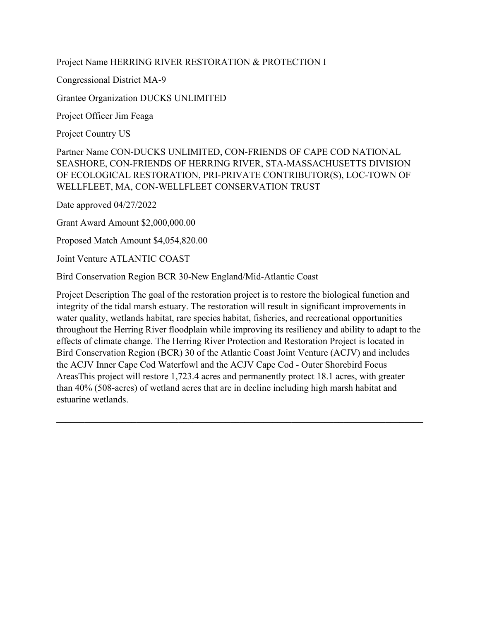#### Project Name HERRING RIVER RESTORATION & PROTECTION I

Congressional District MA-9

Grantee Organization DUCKS UNLIMITED

Project Officer Jim Feaga

Project Country US

Partner Name CON-DUCKS UNLIMITED, CON-FRIENDS OF CAPE COD NATIONAL SEASHORE, CON-FRIENDS OF HERRING RIVER, STA-MASSACHUSETTS DIVISION OF ECOLOGICAL RESTORATION, PRI-PRIVATE CONTRIBUTOR(S), LOC-TOWN OF WELLFLEET, MA, CON-WELLFLEET CONSERVATION TRUST

Date approved 04/27/2022

Grant Award Amount \$2,000,000.00

Proposed Match Amount \$4,054,820.00

Joint Venture ATLANTIC COAST

Bird Conservation Region BCR 30-New England/Mid-Atlantic Coast

Project Description The goal of the restoration project is to restore the biological function and integrity of the tidal marsh estuary. The restoration will result in significant improvements in water quality, wetlands habitat, rare species habitat, fisheries, and recreational opportunities throughout the Herring River floodplain while improving its resiliency and ability to adapt to the effects of climate change. The Herring River Protection and Restoration Project is located in Bird Conservation Region (BCR) 30 of the Atlantic Coast Joint Venture (ACJV) and includes the ACJV Inner Cape Cod Waterfowl and the ACJV Cape Cod - Outer Shorebird Focus AreasThis project will restore 1,723.4 acres and permanently protect 18.1 acres, with greater than 40% (508-acres) of wetland acres that are in decline including high marsh habitat and estuarine wetlands.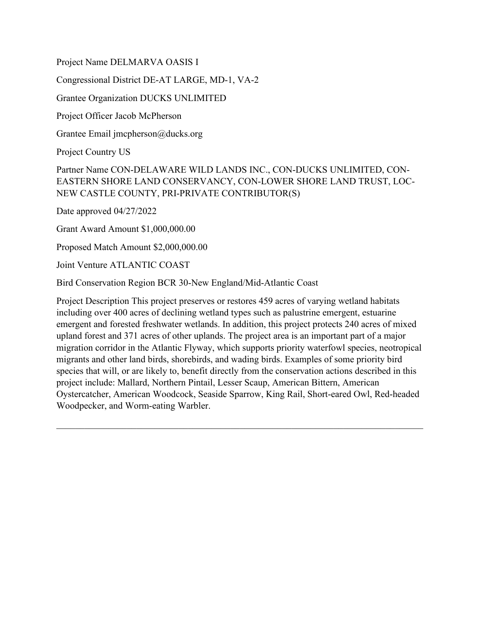Project Name DELMARVA OASIS I

Congressional District DE-AT LARGE, MD-1, VA-2

Grantee Organization DUCKS UNLIMITED

Project Officer Jacob McPherson

Grantee Email jmcpherson@ducks.org

Project Country US

Partner Name CON-DELAWARE WILD LANDS INC., CON-DUCKS UNLIMITED, CON-EASTERN SHORE LAND CONSERVANCY, CON-LOWER SHORE LAND TRUST, LOC-NEW CASTLE COUNTY, PRI-PRIVATE CONTRIBUTOR(S)

Date approved 04/27/2022

Grant Award Amount \$1,000,000.00

Proposed Match Amount \$2,000,000.00

Joint Venture ATLANTIC COAST

Bird Conservation Region BCR 30-New England/Mid-Atlantic Coast

Project Description This project preserves or restores 459 acres of varying wetland habitats including over 400 acres of declining wetland types such as palustrine emergent, estuarine emergent and forested freshwater wetlands. In addition, this project protects 240 acres of mixed upland forest and 371 acres of other uplands. The project area is an important part of a major migration corridor in the Atlantic Flyway, which supports priority waterfowl species, neotropical migrants and other land birds, shorebirds, and wading birds. Examples of some priority bird species that will, or are likely to, benefit directly from the conservation actions described in this project include: Mallard, Northern Pintail, Lesser Scaup, American Bittern, American Oystercatcher, American Woodcock, Seaside Sparrow, King Rail, Short-eared Owl, Red-headed Woodpecker, and Worm-eating Warbler.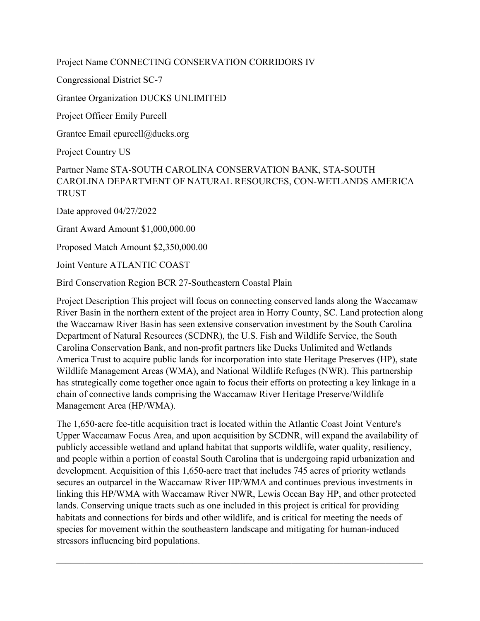Project Name CONNECTING CONSERVATION CORRIDORS IV

Congressional District SC-7

Grantee Organization DUCKS UNLIMITED

Project Officer Emily Purcell

Grantee Email epurcell@ducks.org

Project Country US

Partner Name STA-SOUTH CAROLINA CONSERVATION BANK, STA-SOUTH CAROLINA DEPARTMENT OF NATURAL RESOURCES, CON-WETLANDS AMERICA TRUST

Date approved 04/27/2022

Grant Award Amount \$1,000,000.00

Proposed Match Amount \$2,350,000.00

Joint Venture ATLANTIC COAST

Bird Conservation Region BCR 27-Southeastern Coastal Plain

Project Description This project will focus on connecting conserved lands along the Waccamaw River Basin in the northern extent of the project area in Horry County, SC. Land protection along the Waccamaw River Basin has seen extensive conservation investment by the South Carolina Department of Natural Resources (SCDNR), the U.S. Fish and Wildlife Service, the South Carolina Conservation Bank, and non-profit partners like Ducks Unlimited and Wetlands America Trust to acquire public lands for incorporation into state Heritage Preserves (HP), state Wildlife Management Areas (WMA), and National Wildlife Refuges (NWR). This partnership has strategically come together once again to focus their efforts on protecting a key linkage in a chain of connective lands comprising the Waccamaw River Heritage Preserve/Wildlife Management Area (HP/WMA).

The 1,650-acre fee-title acquisition tract is located within the Atlantic Coast Joint Venture's Upper Waccamaw Focus Area, and upon acquisition by SCDNR, will expand the availability of publicly accessible wetland and upland habitat that supports wildlife, water quality, resiliency, and people within a portion of coastal South Carolina that is undergoing rapid urbanization and development. Acquisition of this 1,650-acre tract that includes 745 acres of priority wetlands secures an outparcel in the Waccamaw River HP/WMA and continues previous investments in linking this HP/WMA with Waccamaw River NWR, Lewis Ocean Bay HP, and other protected lands. Conserving unique tracts such as one included in this project is critical for providing habitats and connections for birds and other wildlife, and is critical for meeting the needs of species for movement within the southeastern landscape and mitigating for human-induced stressors influencing bird populations.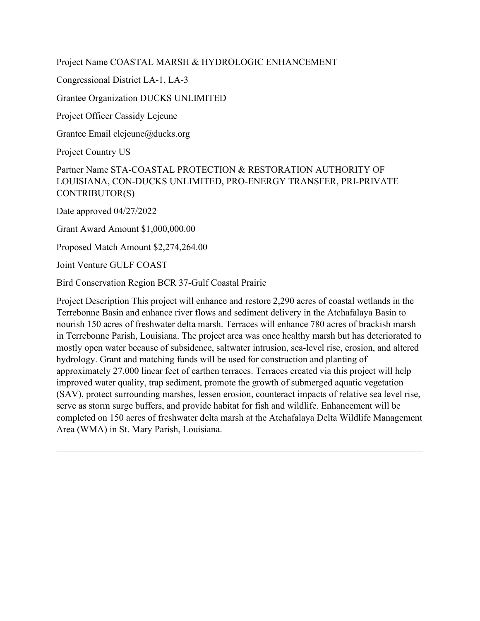Project Name COASTAL MARSH & HYDROLOGIC ENHANCEMENT

Congressional District LA-1, LA-3

Grantee Organization DUCKS UNLIMITED

Project Officer Cassidy Lejeune

Grantee Email clejeune@ducks.org

Project Country US

Partner Name STA-COASTAL PROTECTION & RESTORATION AUTHORITY OF LOUISIANA, CON-DUCKS UNLIMITED, PRO-ENERGY TRANSFER, PRI-PRIVATE CONTRIBUTOR(S)

Date approved 04/27/2022

Grant Award Amount \$1,000,000.00

Proposed Match Amount \$2,274,264.00

Joint Venture GULF COAST

Bird Conservation Region BCR 37-Gulf Coastal Prairie

Project Description This project will enhance and restore 2,290 acres of coastal wetlands in the Terrebonne Basin and enhance river flows and sediment delivery in the Atchafalaya Basin to nourish 150 acres of freshwater delta marsh. Terraces will enhance 780 acres of brackish marsh in Terrebonne Parish, Louisiana. The project area was once healthy marsh but has deteriorated to mostly open water because of subsidence, saltwater intrusion, sea-level rise, erosion, and altered hydrology. Grant and matching funds will be used for construction and planting of approximately 27,000 linear feet of earthen terraces. Terraces created via this project will help improved water quality, trap sediment, promote the growth of submerged aquatic vegetation (SAV), protect surrounding marshes, lessen erosion, counteract impacts of relative sea level rise, serve as storm surge buffers, and provide habitat for fish and wildlife. Enhancement will be completed on 150 acres of freshwater delta marsh at the Atchafalaya Delta Wildlife Management Area (WMA) in St. Mary Parish, Louisiana.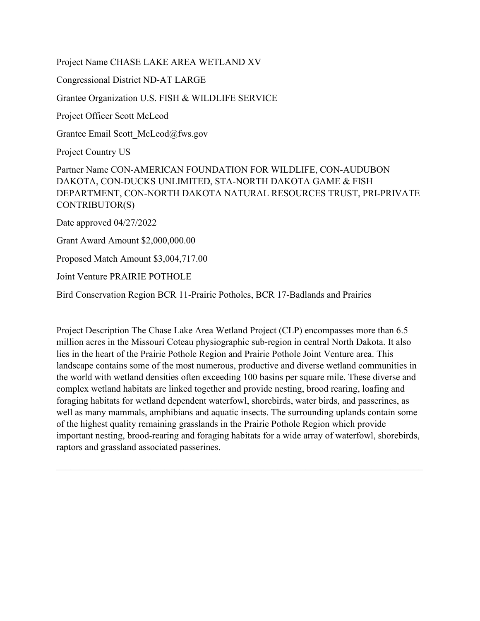Project Name CHASE LAKE AREA WETLAND XV Congressional District ND-AT LARGE Grantee Organization U.S. FISH & WILDLIFE SERVICE Project Officer Scott McLeod Grantee Email Scott\_McLeod@fws.gov Project Country US Partner Name CON-AMERICAN FOUNDATION FOR WILDLIFE, CON-AUDUBON DAKOTA, CON-DUCKS UNLIMITED, STA-NORTH DAKOTA GAME & FISH DEPARTMENT, CON-NORTH DAKOTA NATURAL RESOURCES TRUST, PRI-PRIVATE CONTRIBUTOR(S) Date approved 04/27/2022 Grant Award Amount \$2,000,000.00 Proposed Match Amount \$3,004,717.00 Joint Venture PRAIRIE POTHOLE

Bird Conservation Region BCR 11-Prairie Potholes, BCR 17-Badlands and Prairies

Project Description The Chase Lake Area Wetland Project (CLP) encompasses more than 6.5 million acres in the Missouri Coteau physiographic sub-region in central North Dakota. It also lies in the heart of the Prairie Pothole Region and Prairie Pothole Joint Venture area. This landscape contains some of the most numerous, productive and diverse wetland communities in the world with wetland densities often exceeding 100 basins per square mile. These diverse and complex wetland habitats are linked together and provide nesting, brood rearing, loafing and foraging habitats for wetland dependent waterfowl, shorebirds, water birds, and passerines, as well as many mammals, amphibians and aquatic insects. The surrounding uplands contain some of the highest quality remaining grasslands in the Prairie Pothole Region which provide important nesting, brood-rearing and foraging habitats for a wide array of waterfowl, shorebirds, raptors and grassland associated passerines.

 $\_$  , and the set of the set of the set of the set of the set of the set of the set of the set of the set of the set of the set of the set of the set of the set of the set of the set of the set of the set of the set of th